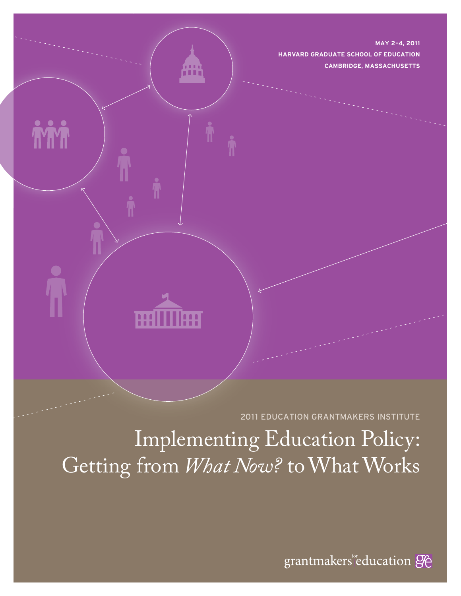**MAY 2–4, 2011 HARVARD GRADUATE SCHOOL OF EDUCATION CAMBRIDGE, MASSACHUSETTS**

2011 EDUCATION GRANTMAKERS INSTITUTE

Implementing Education Policy: Getting from *What Now?* to What Works

ml

l!!!

**TYTYT** 

grantmakers education 96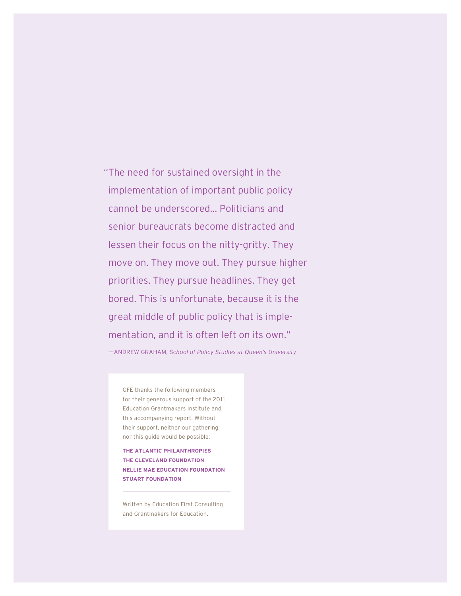" The need for sustained oversight in the implementation of important public policy cannot be underscored… Politicians and senior bureaucrats become distracted and lessen their focus on the nitty-gritty. They move on. They move out. They pursue higher priorities. They pursue headlines. They get bored. This is unfortunate, because it is the great middle of public policy that is implementation, and it is often left on its own."

—— ANDREW GRAHAM, *School of Policy Studies at Queen's University*

GFE thanks the following members for their generous support of the 2011 Education Grantmakers Institute and this accompanying report. Without their support, neither our gathering nor this guide would be possible:

**THE ATLANTIC PHILANTHROPIES THE CLEVELAND FOUNDATION NELLIE MAE EDUCATION FOUNDATION STUART FOUNDATION**

Written by Education First Consulting and Grantmakers for Education.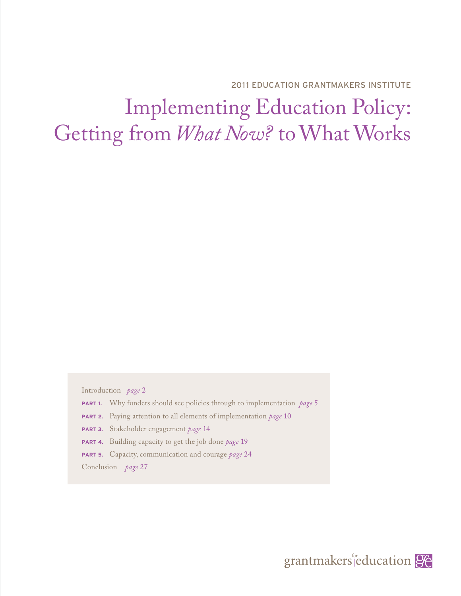2011 EDUCATION GRANTMAKERS INSTITUTE

# Implementing Education Policy: Getting from *What Now?* to What Works

Introduction *page* 2

- **PART 1.** Why funders should see policies through to implementation *page* 5
- **PART 2.** Paying attention to all elements of implementation *page* 10
- **PART 3.** Stakeholder engagement *page* 14
- **PART 4.** Building capacity to get the job done *page* 19
- **PART 5.** Capacity, communication and courage *page* 24

Conclusion *page* 27

grantmakers<sup>fr</sup>education **96**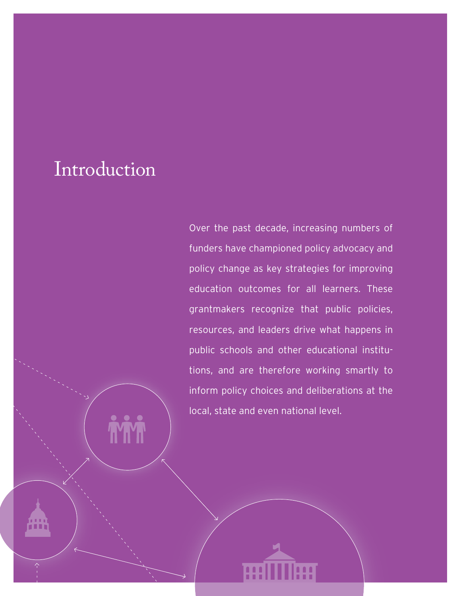# Introduction

Over the past decade, increasing numbers of funders have championed policy advocacy and policy change as key strategies for improving education outcomes for all learners. These grantmakers recognize that public policies, resources, and leaders drive what happens in public schools and other educational institutions, and are therefore working smartly to inform policy choices and deliberations at the local, state and even national level.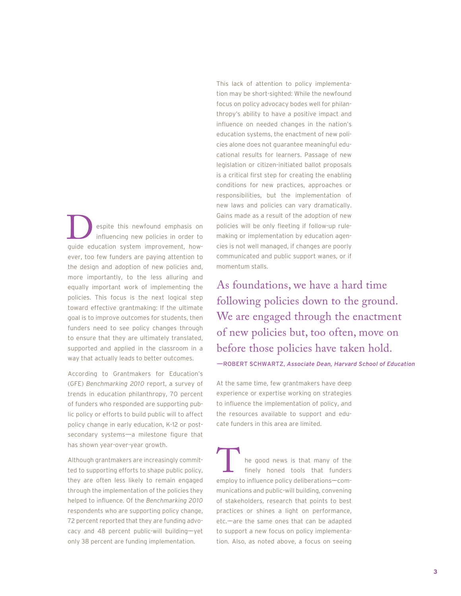espite this newfound emphasis on influencing new policies in order to espite this newfound emphasis on<br>influencing new policies in order to<br>guide education system improvement, however, too few funders are paying attention to the design and adoption of new policies and, more importantly, to the less alluring and equally important work of implementing the policies. This focus is the next logical step toward effective grantmaking: If the ultimate goal is to improve outcomes for students, then funders need to see policy changes through to ensure that they are ultimately translated, supported and applied in the classroom in a way that actually leads to better outcomes.

According to Grantmakers for Education's (GFE) *Benchmarking 2010* report, a survey of trends in education philanthropy, 70 percent of funders who responded are supporting public policy or efforts to build public will to affect policy change in early education, K-12 or postsecondary systems-a milestone figure that has shown year-over-year growth.

Although grantmakers are increasingly committed to supporting efforts to shape public policy, they are often less likely to remain engaged through the implementation of the policies they helped to influence. Of the Benchmarking 2010 respondents who are supporting policy change, 72 percent reported that they are funding advocacy and 48 percent public-will building-yet only 38 percent are funding implementation.

This lack of attention to policy implementation may be short-sighted: While the newfound focus on policy advocacy bodes well for philanthropy's ability to have a positive impact and influence on needed changes in the nation's education systems, the enactment of new policies alone does not guarantee meaningful educational results for learners. Passage of new legislation or citizen-initiated ballot proposals is a critical first step for creating the enabling conditions for new practices, approaches or responsibilities, but the implementation of new laws and policies can vary dramatically. Gains made as a result of the adoption of new policies will be only fleeting if follow-up rulemaking or implementation by education agencies is not well managed, if changes are poorly communicated and public support wanes, or if momentum stalls.

As foundations, we have a hard time following policies down to the ground. We are engaged through the enactment of new policies but, too often, move on before those policies have taken hold. ——ROBERT SCHWARTZ, *Associate Dean, Harvard School of Education*

At the same time, few grantmakers have deep experience or expertise working on strategies to influence the implementation of policy, and the resources available to support and educate funders in this area are limited.

he good news is that many of the finely honed tools that funders the good news is that many of the<br>finely honed tools that funders<br>employ to influence policy deliberations—communications and public-will building, convening of stakeholders, research that points to best practices or shines a light on performance, etc.——are the same ones that can be adapted to support a new focus on policy implementation. Also, as noted above, a focus on seeing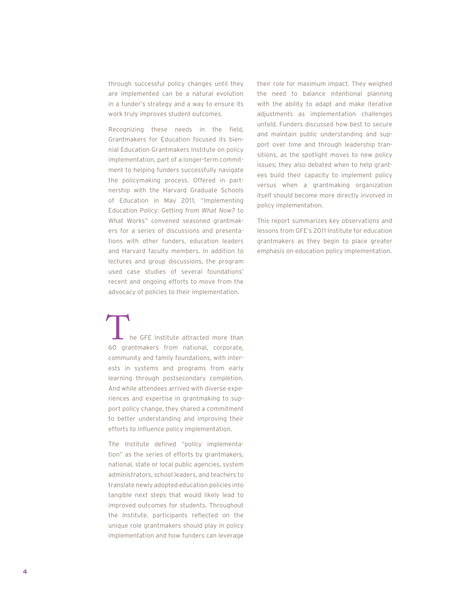through successful policy changes until they are implemented can be a natural evolution in a funder's strategy and a way to ensure its work truly improves student outcomes.

Recognizing these needs in the field, Grantmakers for Education focused its biennial Education Grantmakers Institute on policy implementation, part of a longer-term commitment to helping funders successfully navigate the policymaking process. Offered in partnership with the Harvard Graduate Schools of Education in May 2011, "Implementing Education Policy: Getting from *What Now?* to What Works" convened seasoned grantmakers for a series of discussions and presentations with other funders, education leaders and Harvard faculty members. In addition to lectures and group discussions, the program used case studies of several foundations' recent and ongoing efforts to move from the advocacy of policies to their implementation.

he GFE Institute attracted more than The GFE Institute attracted more than<br>60 grantmakers from national, corporate, community and family foundations, with interests in systems and programs from early learning through postsecondary completion. And while attendees arrived with diverse experiences and expertise in grantmaking to support policy change, they shared a commitment to better understanding and improving their efforts to influence policy implementation.

The Institute defined "policy implementation" as the series of efforts by grantmakers, national, state or local public agencies, system administrators, school leaders, and teachers to translate newly adopted education policies into tangible next steps that would likely lead to improved outcomes for students. Throughout the Institute, participants reflected on the unique role grantmakers should play in policy implementation and how funders can leverage

their role for maximum impact. They weighed the need to balance intentional planning with the ability to adapt and make iterative adjustments as implementation challenges unfold. Funders discussed how best to secure and maintain public understanding and support over time and through leadership transitions, as the spotlight moves to new policy issues; they also debated when to help grantees build their capacity to implement policy versus when a grantmaking organization itself should become more directly involved in policy implementation.

This report summarizes key observations and lessons from GFE's 2011 Institute for education grantmakers as they begin to place greater emphasis on education policy implementation.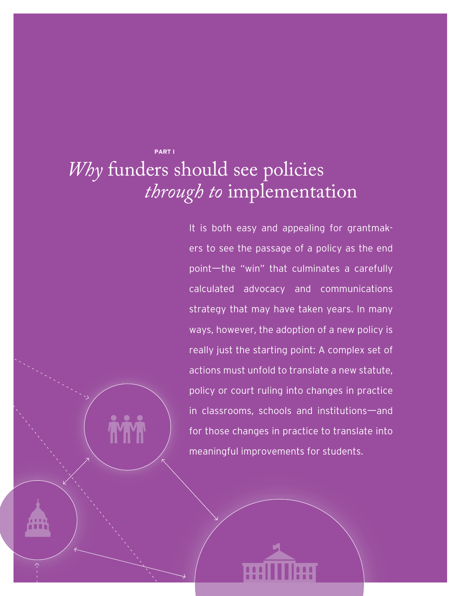## **PART I** *Why* funders should see policies *through to* implementation

It is both easy and appealing for grantmakers to see the passage of a policy as the end point-the "win" that culminates a carefully calculated advocacy and communications strategy that may have taken years. In many ways, however, the adoption of a new policy is really just the starting point: A complex set of actions must unfold to translate a new statute, policy or court ruling into changes in practice in classrooms, schools and institutions—and for those changes in practice to translate into meaningful improvements for students.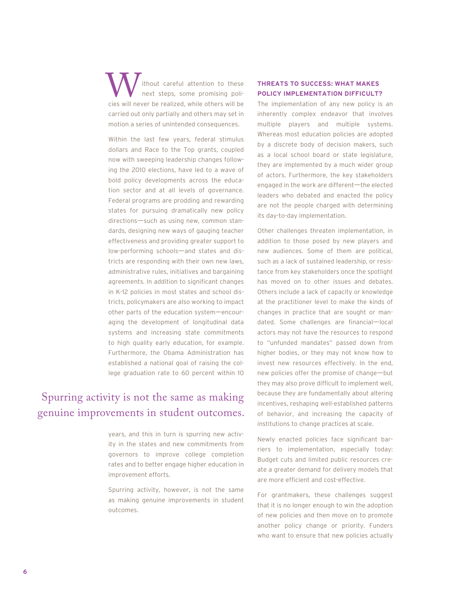ithout careful attention to these next steps, some promising poli-W ithout careful attention to these<br>
next steps, some promising poli-<br>
cies will never be realized, while others will be carried out only partially and others may set in motion a series of unintended consequences.

Within the last few years, federal stimulus dollars and Race to the Top grants, coupled now with sweeping leadership changes following the 2010 elections, have led to a wave of bold policy developments across the education sector and at all levels of governance. Federal programs are prodding and rewarding states for pursuing dramatically new policy directions——such as using new, common standards, designing new ways of gauging teacher effectiveness and providing greater support to low-performing schools—and states and districts are responding with their own new laws, administrative rules, initiatives and bargaining agreements. In addition to significant changes in K-12 policies in most states and school districts, policymakers are also working to impact other parts of the education system-encouraging the development of longitudinal data systems and increasing state commitments to high quality early education, for example. Furthermore, the Obama Administration has established a national goal of raising the college graduation rate to 60 percent within 10

### Spurring activity is not the same as making genuine improvements in student outcomes.

years, and this in turn is spurring new activity in the states and new commitments from governors to improve college completion rates and to better engage higher education in improvement efforts.

Spurring activity, however, is not the same as making genuine improvements in student outcomes.

#### **THREATS TO SUCCESS: WHAT MAKES POLICY IMPLEMENTATION DIFFICULT?**

The implementation of any new policy is an inherently complex endeavor that involves multiple players and multiple systems. Whereas most education policies are adopted by a discrete body of decision makers, such as a local school board or state legislature, they are implemented by a much wider group of actors. Furthermore, the key stakeholders engaged in the work are different—the elected leaders who debated and enacted the policy are not the people charged with determining its day-to-day implementation.

Other challenges threaten implementation, in addition to those posed by new players and new audiences. Some of them are political, such as a lack of sustained leadership, or resistance from key stakeholders once the spotlight has moved on to other issues and debates. Others include a lack of capacity or knowledge at the practitioner level to make the kinds of changes in practice that are sought or mandated. Some challenges are financial-local actors may not have the resources to respond to "unfunded mandates" passed down from higher bodies, or they may not know how to invest new resources effectively. In the end, new policies offer the promise of change—but they may also prove difficult to implement well, because they are fundamentally about altering incentives, reshaping well-established patterns of behavior, and increasing the capacity of institutions to change practices at scale.

Newly enacted policies face significant barriers to implementation, especially today: Budget cuts and limited public resources create a greater demand for delivery models that are more efficient and cost-effective.

For grantmakers, these challenges suggest that it is no longer enough to win the adoption of new policies and then move on to promote another policy change or priority. Funders who want to ensure that new policies actually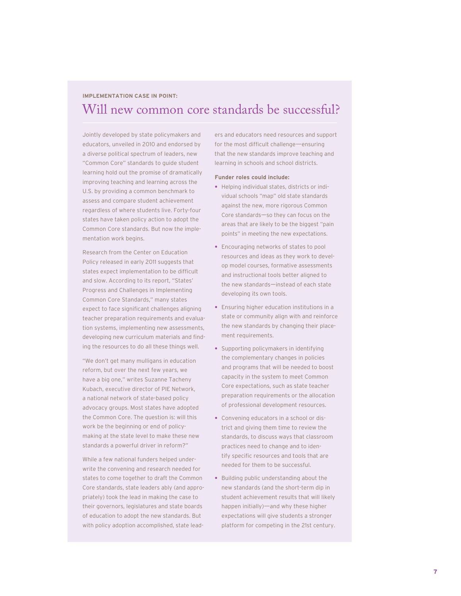#### **IMPLEMENTATION CASE IN POINT:**

## Will new common core standards be successful?

Jointly developed by state policymakers and educators, unveiled in 2010 and endorsed by a diverse political spectrum of leaders, new "Common Core" standards to guide student learning hold out the promise of dramatically improving teaching and learning across the U.S. by providing a common benchmark to assess and compare student achievement regardless of where students live. Forty-four states have taken policy action to adopt the Common Core standards. But now the implementation work begins.

Research from the Center on Education Policy released in early 2011 suggests that states expect implementation to be difficult and slow. According to its report, "States' Progress and Challenges in Implementing Common Core Standards," many states expect to face significant challenges aligning teacher preparation requirements and evaluation systems, implementing new assessments, developing new curriculum materials and finding the resources to do all these things well.

"We don't get many mulligans in education reform, but over the next few years, we have a big one," writes Suzanne Tacheny Kubach, executive director of PIE Network, a national network of state-based policy advocacy groups. Most states have adopted the Common Core. The question is: will this work be the beginning or end of policymaking at the state level to make these new standards a powerful driver in reform?"

While a few national funders helped underwrite the convening and research needed for states to come together to draft the Common Core standards, state leaders ably (and appropriately) took the lead in making the case to their governors, legislatures and state boards of education to adopt the new standards. But with policy adoption accomplished, state lead-

ers and educators need resources and support for the most difficult challenge—ensuring that the new standards improve teaching and learning in schools and school districts.

#### **Funder roles could include:**

- **•** Helping individual states, districts or individual schools "map" old state standards against the new, more rigorous Common Core standards—so they can focus on the areas that are likely to be the biggest "pain points" in meeting the new expectations.
- **•** Encouraging networks of states to pool resources and ideas as they work to develop model courses, formative assessments and instructional tools better aligned to the new standards—instead of each state developing its own tools.
- **•** Ensuring higher education institutions in a state or community align with and reinforce the new standards by changing their placement requirements.
- **•** Supporting policymakers in identifying the complementary changes in policies and programs that will be needed to boost capacity in the system to meet Common Core expectations, such as state teacher preparation requirements or the allocation of professional development resources.
- **•** Convening educators in a school or district and giving them time to review the standards, to discuss ways that classroom practices need to change and to identify specific resources and tools that are needed for them to be successful.
- **•** Building public understanding about the new standards (and the short-term dip in student achievement results that will likely happen initially)—and why these higher expectations will give students a stronger platform for competing in the 21st century.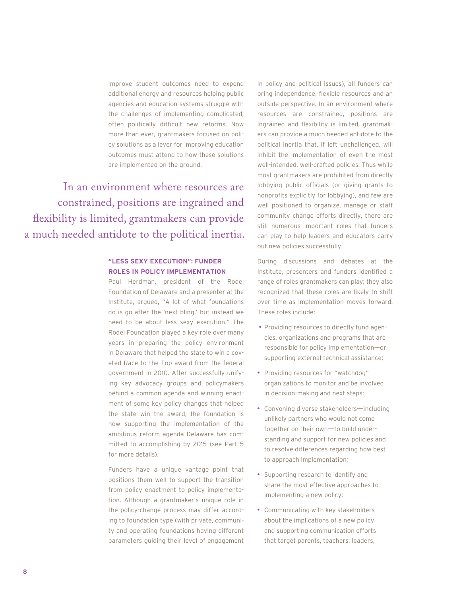improve student outcomes need to expend additional energy and resources helping public agencies and education systems struggle with the challenges of implementing complicated, often politically difficult new reforms. Now more than ever, grantmakers focused on policy solutions as a lever for improving education outcomes must attend to how these solutions are implemented on the ground.

In an environment where resources are constrained, positions are ingrained and flexibility is limited, grantmakers can provide a much needed antidote to the political inertia.

#### **"LESS SEXY EXECUTION": FUNDER ROLES IN POLICY IMPLEMENTATION**

Paul Herdman, president of the Rodel Foundation of Delaware and a presenter at the Institute, argued, "A lot of what foundations do is go after the 'next bling,' but instead we need to be about less sexy execution." The Rodel Foundation played a key role over many years in preparing the policy environment in Delaware that helped the state to win a coveted Race to the Top award from the federal government in 2010. After successfully unifying key advocacy groups and policymakers behind a common agenda and winning enactment of some key policy changes that helped the state win the award, the foundation is now supporting the implementation of the ambitious reform agenda Delaware has committed to accomplishing by 2015 (see Part 5 for more details).

Funders have a unique vantage point that positions them well to support the transition from policy enactment to policy implementation. Although a grantmaker's unique role in the policy-change process may differ according to foundation type (with private, community and operating foundations having different parameters guiding their level of engagement

in policy and political issues), all funders can bring independence, flexible resources and an outside perspective. In an environment where resources are constrained, positions are ingrained and flexibility is limited, grantmakers can provide a much needed antidote to the political inertia that, if left unchallenged, will inhibit the implementation of even the most well-intended, well-crafted policies. Thus while most grantmakers are prohibited from directly lobbying public officials (or giving grants to nonprofits explicitly for lobbying), and few are well positioned to organize, manage or staff community change efforts directly, there are still numerous important roles that funders can play to help leaders and educators carry out new policies successfully.

During discussions and debates at the Institute, presenters and funders identified a range of roles grantmakers can play; they also recognized that these roles are likely to shift over time as implementation moves forward. These roles include:

- Providing resources to directly fund agencies, organizations and programs that are responsible for policy implementation-or supporting external technical assistance;
- Providing resources for "watchdog" organizations to monitor and be involved in decision-making and next steps;
- Convening diverse stakeholders-including unlikely partners who would not come together on their own-to build understanding and support for new policies and to resolve differences regarding how best to approach implementation;
- Supporting research to identify and share the most effective approaches to implementing a new policy;
- Communicating with key stakeholders about the implications of a new policy and supporting communication efforts that target parents, teachers, leaders,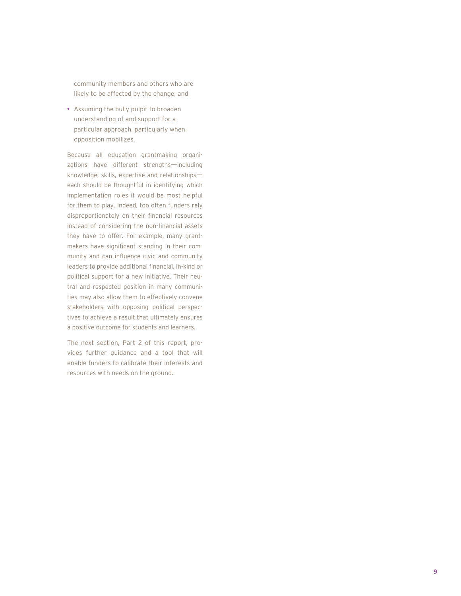community members and others who are likely to be affected by the change; and

**•** Assuming the bully pulpit to broaden understanding of and support for a particular approach, particularly when opposition mobilizes.

Because all education grantmaking organizations have different strengths-including knowledge, skills, expertise and relationships— each should be thoughtful in identifying which implementation roles it would be most helpful for them to play. Indeed, too often funders rely disproportionately on their financial resources instead of considering the non-financial assets they have to offer. For example, many grantmakers have significant standing in their community and can influence civic and community leaders to provide additional financial, in-kind or political support for a new initiative. Their neutral and respected position in many communities may also allow them to effectively convene stakeholders with opposing political perspectives to achieve a result that ultimately ensures a positive outcome for students and learners.

The next section, Part 2 of this report, provides further guidance and a tool that will enable funders to calibrate their interests and resources with needs on the ground.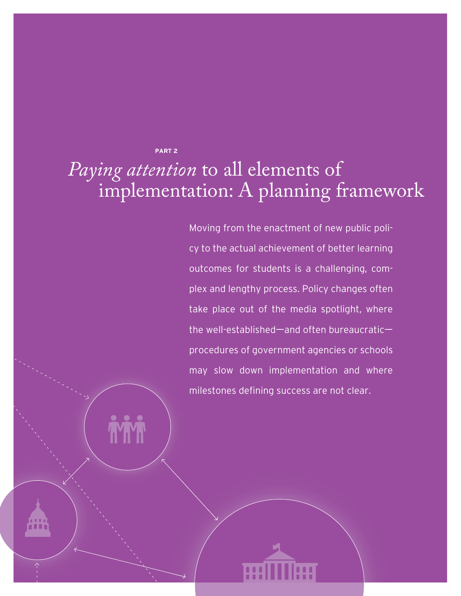**PART 2**

# *Paying attention* to all elements of implementation: A planning framework

Moving from the enactment of new public policy to the actual achievement of better learning outcomes for students is a challenging, complex and lengthy process. Policy changes often take place out of the media spotlight, where the well-established—and often bureaucratic procedures of government agencies or schools may slow down implementation and where milestones defining success are not clear.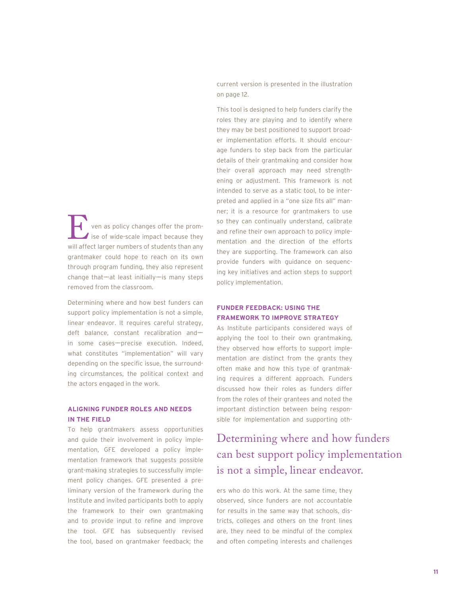ven as policy changes offer the prom- $\blacktriangle$  ise of wide-scale impact because they Ven as policy changes offer the promise of wide-scale impact because they will affect larger numbers of students than any grantmaker could hope to reach on its own through program funding, they also represent  $change that—at least initially—is many steps$ removed from the classroom.

Determining where and how best funders can support policy implementation is not a simple, linear endeavor. It requires careful strategy, deft balance, constant recalibration andin some cases—precise execution. Indeed, what constitutes "implementation" will vary depending on the specific issue, the surrounding circumstances, the political context and the actors engaged in the work.

#### **ALIGNING FUNDER ROLES AND NEEDS IN THE FIELD**

To help grantmakers assess opportunities and guide their involvement in policy implementation, GFE developed a policy implementation framework that suggests possible grant-making strategies to successfully implement policy changes. GFE presented a preliminary version of the framework during the Institute and invited participants both to apply the framework to their own grantmaking and to provide input to refine and improve the tool. GFE has subsequently revised the tool, based on grantmaker feedback; the current version is presented in the illustration on page 12.

This tool is designed to help funders clarify the roles they are playing and to identify where they may be best positioned to support broader implementation efforts. It should encourage funders to step back from the particular details of their grantmaking and consider how their overall approach may need strengthening or adjustment. This framework is not intended to serve as a static tool, to be interpreted and applied in a "one size fits all" manner; it is a resource for grantmakers to use so they can continually understand, calibrate and refine their own approach to policy implementation and the direction of the efforts they are supporting. The framework can also provide funders with guidance on sequencing key initiatives and action steps to support policy implementation.

#### **FUNDER FEEDBACK: USING THE FRAMEWORK TO IMPROVE STRATEGY**

As Institute participants considered ways of applying the tool to their own grantmaking, they observed how efforts to support implementation are distinct from the grants they often make and how this type of grantmaking requires a different approach. Funders discussed how their roles as funders differ from the roles of their grantees and noted the important distinction between being responsible for implementation and supporting oth-

## Determining where and how funders can best support policy implementation is not a simple, linear endeavor.

ers who do this work. At the same time, they observed, since funders are not accountable for results in the same way that schools, districts, colleges and others on the front lines are, they need to be mindful of the complex and often competing interests and challenges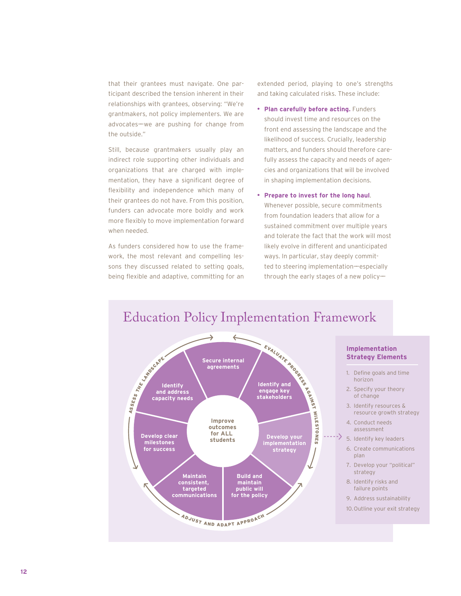that their grantees must navigate. One participant described the tension inherent in their relationships with grantees, observing: "We're grantmakers, not policy implementers. We are advocates——we are pushing for change from the outside."

Still, because grantmakers usually play an indirect role supporting other individuals and organizations that are charged with implementation, they have a significant degree of flexibility and independence which many of their grantees do not have. From this position, funders can advocate more boldly and work more flexibly to move implementation forward when needed.

As funders considered how to use the framework, the most relevant and compelling lessons they discussed related to setting goals, being flexible and adaptive, committing for an extended period, playing to one's strengths and taking calculated risks. These include:

- **• Plan carefully before acting.** Funders should invest time and resources on the front end assessing the landscape and the likelihood of success. Crucially, leadership matters, and funders should therefore carefully assess the capacity and needs of agencies and organizations that will be involved in shaping implementation decisions.
- **• Prepare to invest for the long haul**. Whenever possible, secure commitments from foundation leaders that allow for a sustained commitment over multiple years and tolerate the fact that the work will most likely evolve in different and unanticipated ways. In particular, stay deeply committed to steering implementation—especially through the early stages of a new policy-

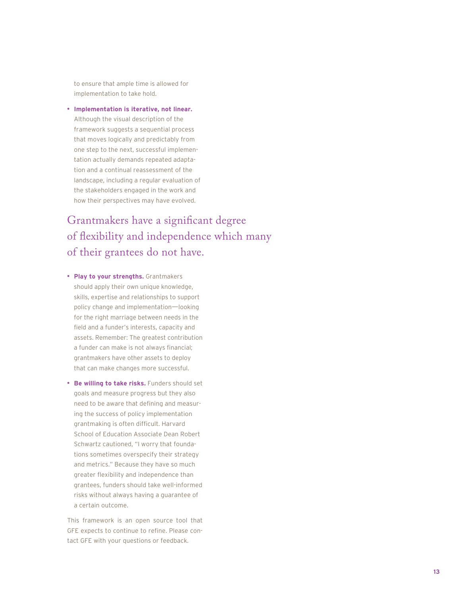to ensure that ample time is allowed for implementation to take hold.

**• Implementation is iterative, not linear.** Although the visual description of the framework suggests a sequential process that moves logically and predictably from one step to the next, successful implementation actually demands repeated adaptation and a continual reassessment of the landscape, including a regular evaluation of the stakeholders engaged in the work and how their perspectives may have evolved.

## Grantmakers have a significant degree of flexibility and independence which many of their grantees do not have.

- **• Play to your strengths.** Grantmakers should apply their own unique knowledge, skills, expertise and relationships to support policy change and implementation-looking for the right marriage between needs in the field and a funder's interests, capacity and assets. Remember: The greatest contribution a funder can make is not always financial; grantmakers have other assets to deploy that can make changes more successful.
- **• Be willing to take risks.** Funders should set goals and measure progress but they also need to be aware that defining and measuring the success of policy implementation grantmaking is often difficult. Harvard School of Education Associate Dean Robert Schwartz cautioned, "I worry that foundations sometimes overspecify their strategy and metrics." Because they have so much greater flexibility and independence than grantees, funders should take well-informed risks without always having a guarantee of a certain outcome.

This framework is an open source tool that GFE expects to continue to refine. Please contact GFE with your questions or feedback.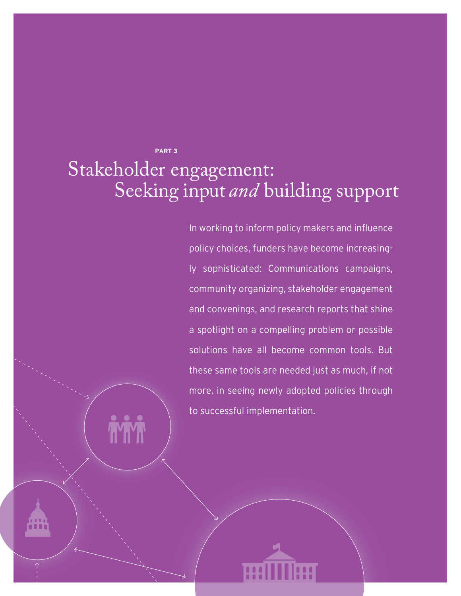**PART 3**

# Stakeholder engagement: Seeking input *and* building support

In working to inform policy makers and influence policy choices, funders have become increasingly sophisticated: Communications campaigns, community organizing, stakeholder engagement and convenings, and research reports that shine a spotlight on a compelling problem or possible solutions have all become common tools. But these same tools are needed just as much, if not more, in seeing newly adopted policies through to successful implementation.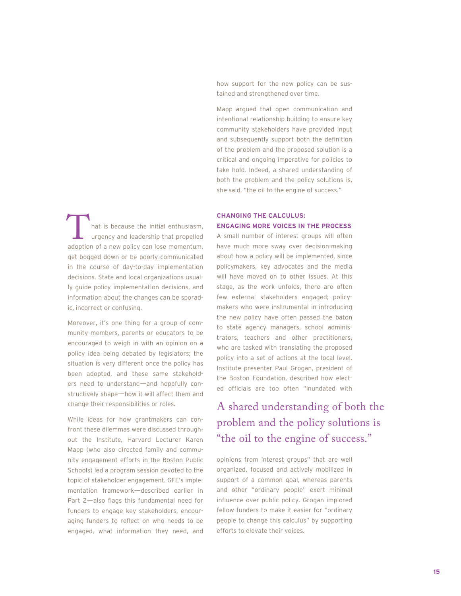how support for the new policy can be sustained and strengthened over time.

Mapp argued that open communication and intentional relationship building to ensure key community stakeholders have provided input and subsequently support both the definition of the problem and the proposed solution is a critical and ongoing imperative for policies to take hold. Indeed, a shared understanding of both the problem and the policy solutions is, she said, "the oil to the engine of success."

hat is because the initial enthusiasm, urgency and leadership that propelled hat is because the initial enthusiasm,<br>urgency and leadership that propelled<br>adoption of a new policy can lose momentum, get bogged down or be poorly communicated in the course of day-to-day implementation decisions. State and local organizations usually guide policy implementation decisions, and information about the changes can be sporadic, incorrect or confusing.

Moreover, it's one thing for a group of community members, parents or educators to be encouraged to weigh in with an opinion on a policy idea being debated by legislators; the situation is very different once the policy has been adopted, and these same stakeholders need to understand—and hopefully constructively shape-how it will affect them and change their responsibilities or roles.

While ideas for how grantmakers can confront these dilemmas were discussed throughout the Institute, Harvard Lecturer Karen Mapp (who also directed family and community engagement efforts in the Boston Public Schools) led a program session devoted to the topic of stakeholder engagement. GFE's implementation framework—described earlier in Part 2-also flags this fundamental need for funders to engage key stakeholders, encouraging funders to reflect on who needs to be engaged, what information they need, and

#### **CHANGING THE CALCULUS: ENGAGING MORE VOICES IN THE PROCESS**

A small number of interest groups will often have much more sway over decision-making about how a policy will be implemented, since policymakers, key advocates and the media will have moved on to other issues. At this stage, as the work unfolds, there are often few external stakeholders engaged; policymakers who were instrumental in introducing the new policy have often passed the baton to state agency managers, school administrators, teachers and other practitioners, who are tasked with translating the proposed policy into a set of actions at the local level. Institute presenter Paul Grogan, president of the Boston Foundation, described how elected officials are too often "inundated with

## A shared understanding of both the problem and the policy solutions is "the oil to the engine of success."

opinions from interest groups" that are well organized, focused and actively mobilized in support of a common goal, whereas parents and other "ordinary people" exert minimal influence over public policy. Grogan implored fellow funders to make it easier for "ordinary people to change this calculus" by supporting efforts to elevate their voices.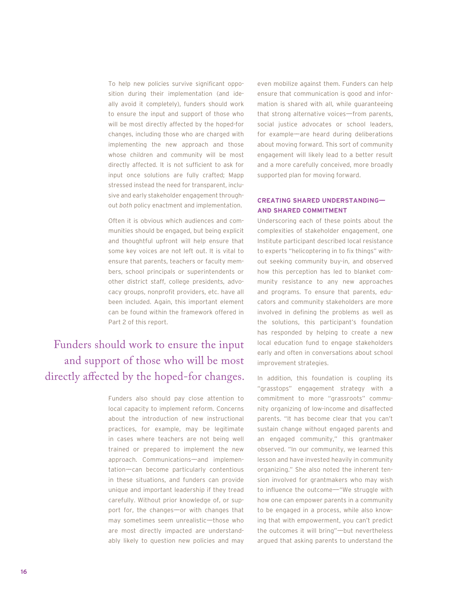To help new policies survive significant opposition during their implementation (and ideally avoid it completely), funders should work to ensure the input and support of those who will be most directly affected by the hoped-for changes, including those who are charged with implementing the new approach and those whose children and community will be most directly affected. It is not sufficient to ask for input once solutions are fully crafted; Mapp stressed instead the need for transparent, inclusive and early stakeholder engagement throughout *both* policy enactment and implementation.

Often it is obvious which audiences and communities should be engaged, but being explicit and thoughtful upfront will help ensure that some key voices are not left out. It is vital to ensure that parents, teachers or faculty members, school principals or superintendents or other district staff, college presidents, advocacy groups, nonprofit providers, etc. have all been included. Again, this important element can be found within the framework offered in Part 2 of this report.

## Funders should work to ensure the input and support of those who will be most directly affected by the hoped-for changes.

Funders also should pay close attention to local capacity to implement reform. Concerns about the introduction of new instructional practices, for example, may be legitimate in cases where teachers are not being well trained or prepared to implement the new approach. Communications—and implementation—can become particularly contentious in these situations, and funders can provide unique and important leadership if they tread carefully. Without prior knowledge of, or support for, the changes—or with changes that may sometimes seem unrealistic-those who are most directly impacted are understandably likely to question new policies and may

even mobilize against them. Funders can help ensure that communication is good and information is shared with all, while guaranteeing that strong alternative voices-from parents, social justice advocates or school leaders, for example—are heard during deliberations about moving forward. This sort of community engagement will likely lead to a better result and a more carefully conceived, more broadly supported plan for moving forward.

#### **CREATING SHARED UNDERSTANDING—— AND SHARED COMMITMENT**

Underscoring each of these points about the complexities of stakeholder engagement, one Institute participant described local resistance to experts "helicoptering in to fix things" without seeking community buy-in, and observed how this perception has led to blanket community resistance to any new approaches and programs. To ensure that parents, educators and community stakeholders are more involved in defining the problems as well as the solutions, this participant's foundation has responded by helping to create a new local education fund to engage stakeholders early and often in conversations about school improvement strategies.

In addition, this foundation is coupling its "grasstops" engagement strategy with a commitment to more "grassroots" community organizing of low-income and disaffected parents. "It has become clear that you can't sustain change without engaged parents and an engaged community," this grantmaker observed. "In our community, we learned this lesson and have invested heavily in community organizing." She also noted the inherent tension involved for grantmakers who may wish to influence the outcome-''We struggle with how one can empower parents in a community to be engaged in a process, while also knowing that with empowerment, you can't predict the outcomes it will bring"-but nevertheless argued that asking parents to understand the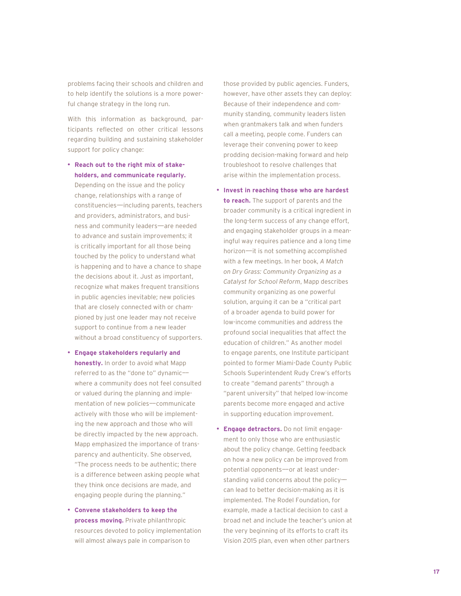problems facing their schools and children and to help identify the solutions is a more powerful change strategy in the long run.

With this information as background, participants reflected on other critical lessons regarding building and sustaining stakeholder support for policy change:

- **• Reach out to the right mix of stakeholders, and communicate regularly.** Depending on the issue and the policy change, relationships with a range of constituencies——including parents, teachers and providers, administrators, and business and community leaders——are needed to advance and sustain improvements; it is critically important for all those being touched by the policy to understand what is happening and to have a chance to shape the decisions about it. Just as important, recognize what makes frequent transitions in public agencies inevitable; new policies that are closely connected with or championed by just one leader may not receive support to continue from a new leader without a broad constituency of supporters.
- **• Engage stakeholders regularly and honestly.** In order to avoid what Mapp referred to as the "done to" dynamic— where a community does not feel consulted or valued during the planning and implementation of new policies——communicate actively with those who will be implementing the new approach and those who will be directly impacted by the new approach. Mapp emphasized the importance of transparency and authenticity. She observed, "The process needs to be authentic; there is a difference between asking people what they think once decisions are made, and engaging people during the planning."
- **• Convene stakeholders to keep the process moving.** Private philanthropic resources devoted to policy implementation will almost always pale in comparison to

those provided by public agencies. Funders, however, have other assets they can deploy: Because of their independence and community standing, community leaders listen when grantmakers talk and when funders call a meeting, people come. Funders can leverage their convening power to keep prodding decision-making forward and help troubleshoot to resolve challenges that arise within the implementation process.

- **• Invest in reaching those who are hardest to reach.** The support of parents and the broader community is a critical ingredient in the long-term success of any change effort, and engaging stakeholder groups in a meaningful way requires patience and a long time horizon——it is not something accomplished with a few meetings. In her book, *A Match on Dry Grass: Community Organizing as a Catalyst for School Reform*, Mapp describes community organizing as one powerful solution, arguing it can be a "critical part of a broader agenda to build power for low-income communities and address the profound social inequalities that affect the education of children." As another model to engage parents, one Institute participant pointed to former Miami-Dade County Public Schools Superintendent Rudy Crew's efforts to create "demand parents" through a "parent university" that helped low-income parents become more engaged and active in supporting education improvement .
- **• Engage detractors.** Do not limit engagement to only those who are enthusiastic about the policy change. Getting feedback on how a new policy can be improved from potential opponents——or at least understanding valid concerns about the policycan lead to better decision-making as it is implemented. The Rodel Foundation, for example, made a tactical decision to cast a broad net and include the teacher's union at the very beginning of its efforts to craft its Vision 2015 plan, even when other partners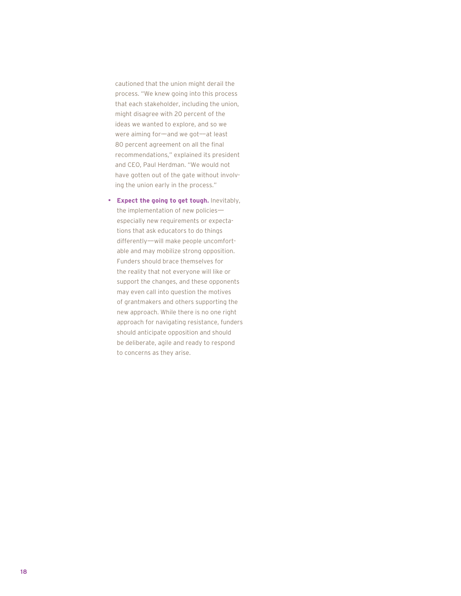cautioned that the union might derail the process. "We knew going into this process that each stakeholder, including the union, might disagree with 20 percent of the ideas we wanted to explore, and so we were aiming for-and we got-at least 80 percent agreement on all the final recommendations," explained its president and CEO, Paul Herdman. "We would not have gotten out of the gate without involving the union early in the process."

**• Expect the going to get tough.** Inevitably, the implementation of new policiesespecially new requirements or expectations that ask educators to do things differently——will make people uncomfortable and may mobilize strong opposition. Funders should brace themselves for the reality that not everyone will like or support the changes, and these opponents may even call into question the motives of grantmakers and others supporting the new approach. While there is no one right approach for navigating resistance, funders should anticipate opposition and should be deliberate, agile and ready to respond to concerns as they arise.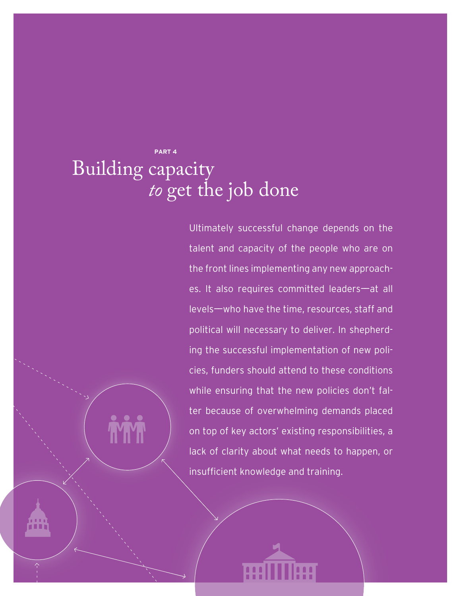## **PART 4** Building capacity *to* get the job done

Ultimately successful change depends on the talent and capacity of the people who are on the front lines implementing any new approaches. It also requires committed leaders-at all levels——who have the time, resources, staff and political will necessary to deliver. In shepherding the successful implementation of new policies, funders should attend to these conditions while ensuring that the new policies don't falter because of overwhelming demands placed on top of key actors' existing responsibilities, a lack of clarity about what needs to happen, or insufficient knowledge and training.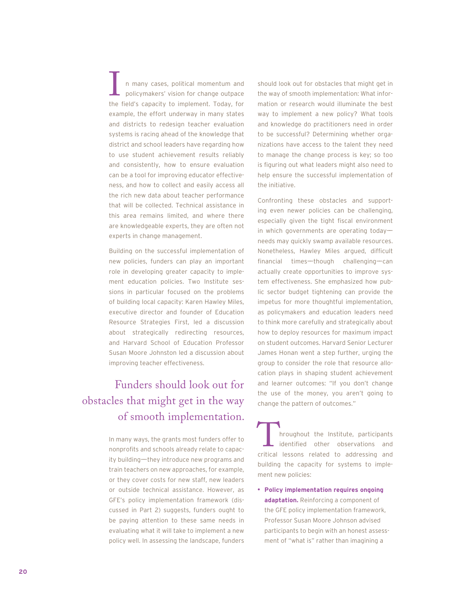n many cases, political momentum and policymakers' vision for change outpace I a many cases, political momentum and<br>policymakers' vision for change outpace<br>the field's capacity to implement. Today, for example, the effort underway in many states and districts to redesign teacher evaluation systems is racing ahead of the knowledge that district and school leaders have regarding how to use student achievement results reliably and consistently, how to ensure evaluation can be a tool for improving educator effectiveness, and how to collect and easily access all the rich new data about teacher performance that will be collected. Technical assistance in this area remains limited, and where there are knowledgeable experts, they are often not experts in change management.

Building on the successful implementation of new policies, funders can play an important role in developing greater capacity to implement education policies. Two Institute sessions in particular focused on the problems of building local capacity: Karen Hawley Miles, executive director and founder of Education Resource Strategies First, led a discussion about strategically redirecting resources, and Harvard School of Education Professor Susan Moore Johnston led a discussion about improving teacher effectiveness.

## Funders should look out for obstacles that might get in the way of smooth implementation.

In many ways, the grants most funders offer to nonprofits and schools already relate to capacity building—they introduce new programs and train teachers on new approaches, for example, or they cover costs for new staff, new leaders or outside technical assistance. However, as GFE's policy implementation framework (discussed in Part 2) suggests, funders ought to be paying attention to these same needs in evaluating what it will take to implement a new policy well. In assessing the landscape, funders

should look out for obstacles that might get in the way of smooth implementation: What information or research would illuminate the best way to implement a new policy? What tools and knowledge do practitioners need in order to be successful? Determining whether organizations have access to the talent they need to manage the change process is key; so too is figuring out what leaders might also need to help ensure the successful implementation of the initiative.

Confronting these obstacles and supporting even newer policies can be challenging, especially given the tight fiscal environment in which governments are operating today needs may quickly swamp available resources. Nonetheless, Hawley Miles argued, difficult financial times—though challenging—can actually create opportunities to improve system effectiveness. She emphasized how public sector budget tightening can provide the impetus for more thoughtful implementation, as policymakers and education leaders need to think more carefully and strategically about how to deploy resources for maximum impact on student outcomes. Harvard Senior Lecturer James Honan went a step further, urging the group to consider the role that resource allocation plays in shaping student achievement and learner outcomes: "If you don't change the use of the money, you aren't going to change the pattern of outcomes."

hroughout the Institute, participants identified other observations and International the Institute, participants<br>
identified other observations and<br>
critical lessons related to addressing and building the capacity for systems to implement new policies:

**• Policy implementation requires ongoing adaptation.** Reinforcing a component of the GFE policy implementation framework, Professor Susan Moore Johnson advised participants to begin with an honest assessment of "what is" rather than imagining a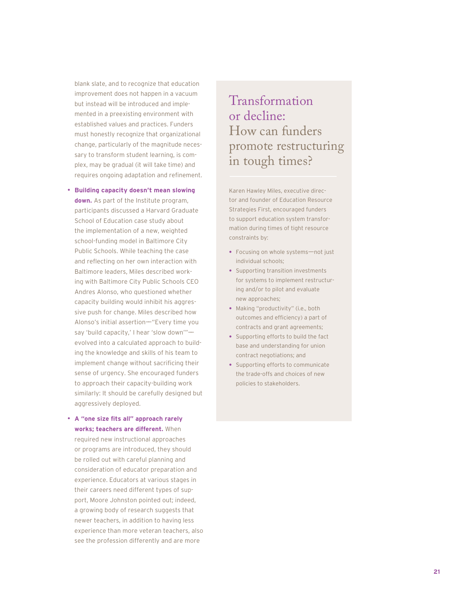blank slate, and to recognize that education improvement does not happen in a vacuum but instead will be introduced and implemented in a preexisting environment with established values and practices. Funders must honestly recognize that organizational change, particularly of the magnitude necessary to transform student learning, is complex, may be gradual (it will take time) and requires ongoing adaptation and refinement.

- **Building capacity doesn't mean slowing down.** As part of the Institute program, participants discussed a Harvard Graduate School of Education case study about the implementation of a new, weighted school-funding model in Baltimore City Public Schools. While teaching the case and reflecting on her own interaction with Baltimore leaders, Miles described working with Baltimore City Public Schools CEO Andres Alonso, who questioned whether capacity building would inhibit his aggressive push for change. Miles described how Alonso's initial assertion-"Every time you say 'build capacity,' I hear 'slow down'"evolved into a calculated approach to building the knowledge and skills of his team to implement change without sacrificing their sense of urgency. She encouraged funders to approach their capacity-building work similarly: It should be carefully designed but aggressively deployed.
- **•** A "one size fits all" approach rarely **works; teachers are different.** When required new instructional approaches or programs are introduced, they should

be rolled out with careful planning and consideration of educator preparation and experience. Educators at various stages in their careers need different types of support, Moore Johnston pointed out; indeed, a growing body of research suggests that newer teachers, in addition to having less experience than more veteran teachers, also see the profession differently and are more

Transformation or decline: How can funders promote restructuring in tough times?

Karen Hawley Miles, executive director and founder of Education Resource Strategies First, encouraged funders to support education system transformation during times of tight resource constraints by:

- Focusing on whole systems-not just individual schools;
- **•** Supporting transition investments for systems to implement restructuring and/or to pilot and evaluate new approaches;
- **•** Making "productivity" (i.e., both outcomes and efficiency) a part of contracts and grant agreements;
- **•** Supporting efforts to build the fact base and understanding for union contract negotiations; and
- **•** Supporting efforts to communicate the trade-offs and choices of new policies to stakeholders.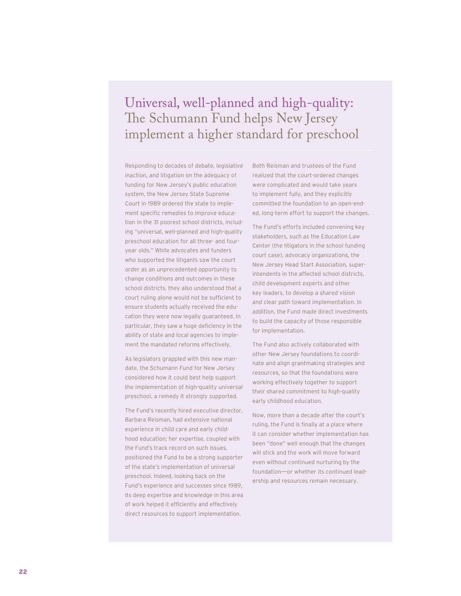# Universal, well-planned and high-quality:<br>The Schumann Fund helps New Jersey implement a higher standard for preschool

Responding to decades of debate, legislative inaction, and litigation on the adequacy of funding for New Jersey's public education system, the New Jersey State Supreme Court in 1989 ordered the state to implement specific remedies to improve education in the 31 poorest school districts, including "universal, well-planned and high-quality preschool education for all three- and fouryear olds." While advocates and funders who supported the litigants saw the court order as an unprecedented opportunity to change conditions and outcomes in these school districts, they also understood that a court ruling alone would not be sufficient to ensure students actually received the education they were now legally guaranteed. In particular, they saw a huge deficiency in the ability of state and local agencies to implement the mandated reforms effectively.

As legislators grappled with this new mandate, the Schumann Fund for New Jersey considered how it could best help support the implementation of high-quality universal preschool, a remedy it strongly supported.

The Fund's recently hired executive director, Barbara Reisman, had extensive national experience in child care and early childhood education; her expertise, coupled with the Fund's track record on such issues, positioned the Fund to be a strong supporter of the state's implementation of universal preschool. Indeed, looking back on the Fund's experience and successes since 1989, its deep expertise and knowledge in this area of work helped it efficiently and effectively direct resources to support implementation.

Both Reisman and trustees of the Fund realized that the court-ordered changes were complicated and would take years to implement fully, and they explicitly committed the foundation to an open-ended, long-term effort to support the changes.

The Fund's efforts included convening key stakeholders, such as the Education Law Center (the litigators in the school funding court case), advocacy organizations, the New Jersey Head Start Association, superintendents in the affected school districts, child development experts and other key leaders, to develop a shared vision and clear path toward implementation. In addition, the Fund made direct investments to build the capacity of those responsible for implementation.

The Fund also actively collaborated with other New Jersey foundations to coordinate and align grantmaking strategies and resources, so that the foundations were working effectively together to support their shared commitment to high-quality early childhood education.

Now, more than a decade after the court's ruling, the Fund is finally at a place where it can consider whether implementation has been "done" well enough that the changes will stick and the work will move forward even without continued nurturing by the foundation-or whether its continued leadership and resources remain necessary.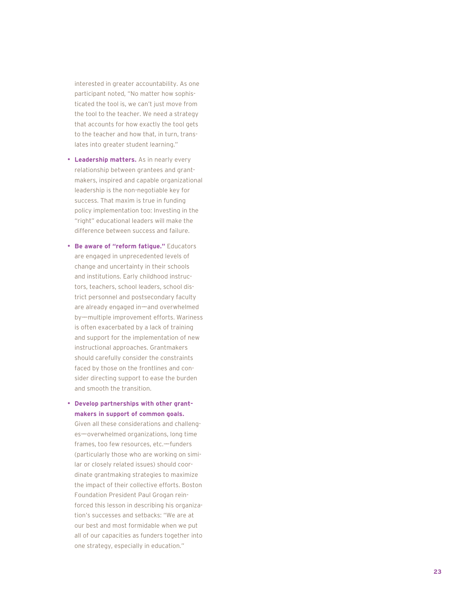interested in greater accountability. As one participant noted, "No matter how sophisticated the tool is, we can't just move from the tool to the teacher. We need a strategy that accounts for how exactly the tool gets to the teacher and how that, in turn, translates into greater student learning."

- **Leadership matters.** As in nearly every relationship between grantees and grantmakers, inspired and capable organizational leadership is the non-negotiable key for success. That maxim is true in funding policy implementation too: Investing in the "right" educational leaders will make the difference between success and failure.
- **Be aware of "reform fatigue."** Educators are engaged in unprecedented levels of change and uncertainty in their schools and institutions. Early childhood instructors, teachers, school leaders, school district personnel and postsecondary faculty are already engaged in—and overwhelmed by—multiple improvement efforts. Wariness is often exacerbated by a lack of training and support for the implementation of new instructional approaches. Grantmakers should carefully consider the constraints faced by those on the frontlines and consider directing support to ease the burden and smooth the transition.

#### **• Develop partnerships with other grantmakers in support of common goals.**

Given all these considerations and challenges-overwhelmed organizations, long time frames, too few resources, etc.-funders (particularly those who are working on similar or closely related issues) should coordinate grantmaking strategies to maximize the impact of their collective efforts. Boston Foundation President Paul Grogan reinforced this lesson in describing his organization's successes and setbacks: "We are at our best and most formidable when we put all of our capacities as funders together into one strategy, especially in education."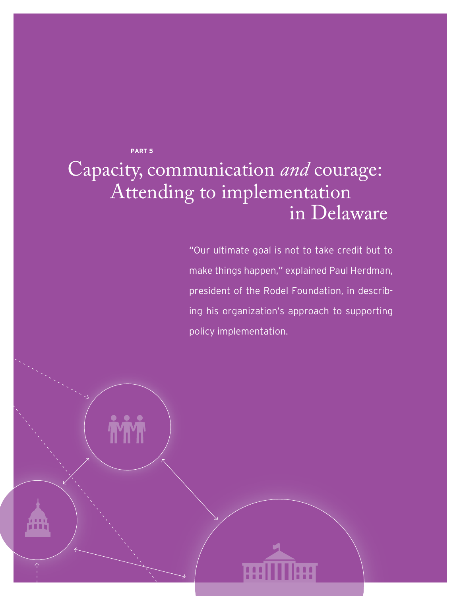**PART 5**

# Capacity, communication *and* courage: Attending to implementation in Delaware

"Our ultimate goal is not to take credit but to make things happen," explained Paul Herdman, president of the Rodel Foundation, in describing his organization's approach to supporting policy implementation.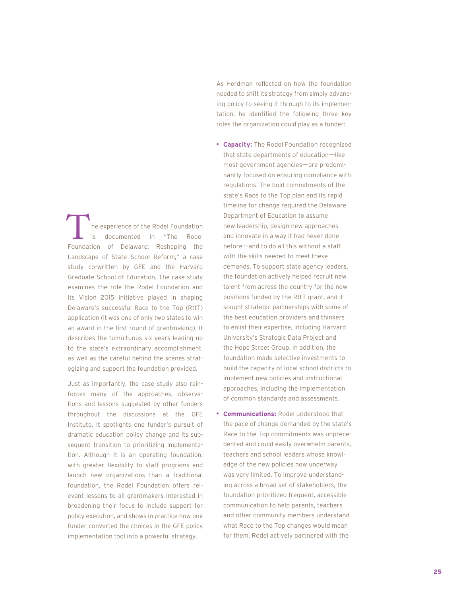he experience of the Rodel Foundation is documented in "The Rodel The experience of the Rodel Foundation<br>
is documented in "The Rodel<br>
Foundation of Delaware: Reshaping the Landscape of State School Reform," a case study co-written by GFE and the Harvard Graduate School of Education. The case study examines the role the Rodel Foundation and its Vision 2015 initiative played in shaping Delaware's successful Race to the Top (RttT) application (it was one of only two states to win an award in the first round of grantmaking). It describes the tumultuous six years leading up to the state's extraordinary accomplishment, as well as the careful behind the scenes strategizing and support the foundation provided.

Just as importantly, the case study also reinforces many of the approaches, observations and lessons suggested by other funders throughout the discussions at the GFE Institute. It spotlights one funder's pursuit of dramatic education policy change and its subsequent transition to prioritizing implementation. Although it is an operating foundation, with greater flexibility to staff programs and launch new organizations than a traditional foundation, the Rodel Foundation offers relevant lessons to all grantmakers interested in broadening their focus to include support for policy execution, and shows in practice how one funder converted the choices in the GFE policy implementation tool into a powerful strategy.

As Herdman reflected on how the foundation needed to shift its strategy from simply advancing policy to seeing it through to its implementation, he identified the following three key roles the organization could play as a funder:

- **• Capacity:** The Rodel Foundation recognized that state departments of education-like most government agencies—are predominantly focused on ensuring compliance with regulations. The bold commitments of the state's Race to the Top plan and its rapid timeline for change required the Delaware Department of Education to assume new leadership, design new approaches and innovate in a way it had never done before——and to do all this without a staff with the skills needed to meet these demands. To support state agency leaders, the foundation actively helped recruit new talent from across the country for the new positions funded by the RttT grant, and it sought strategic partnerships with some of the best education providers and thinkers to enlist their expertise, including Harvard University's Strategic Data Project and the Hope Street Group. In addition, the foundation made selective investments to build the capacity of local school districts to implement new policies and instructional approaches, including the implementation of common standards and assessments.
- **• Communications:** Rodel understood that the pace of change demanded by the state's Race to the Top commitments was unprecedented and could easily overwhelm parents, teachers and school leaders whose knowledge of the new policies now underway was very limited. To improve understanding across a broad set of stakeholders, the foundation prioritized frequent, accessible communication to help parents, teachers and other community members understand what Race to the Top changes would mean for them. Rodel actively partnered with the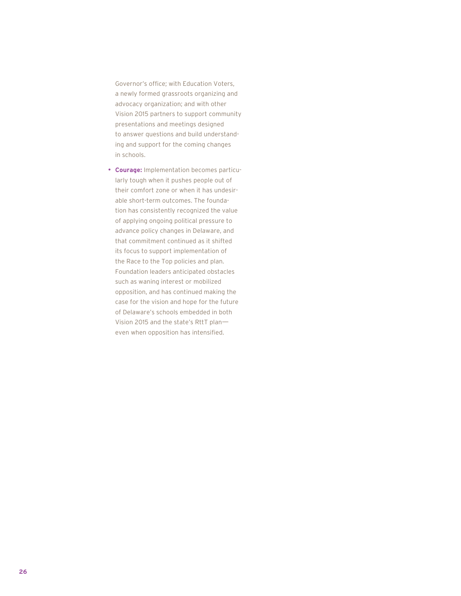Governor's office; with Education Voters, a newly formed grassroots organizing and advocacy organization; and with other Vision 2015 partners to support community presentations and meetings designed to answer questions and build understanding and support for the coming changes in schools.

**• Courage:** Implementation becomes particularly tough when it pushes people out of their comfort zone or when it has undesirable short-term outcomes. The foundation has consistently recognized the value of applying ongoing political pressure to advance policy changes in Delaware, and that commitment continued as it shifted its focus to support implementation of the Race to the Top policies and plan. Foundation leaders anticipated obstacles such as waning interest or mobilized opposition, and has continued making the case for the vision and hope for the future of Delaware's schools embedded in both Vision 2015 and the state's RttT plan— even when opposition has intensified.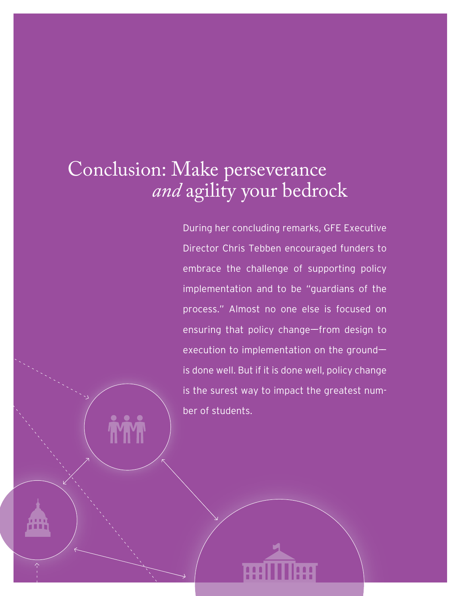# Conclusion: Make perseverance  *and* agility your bedrock

During her concluding remarks, GFE Executive Director Chris Tebben encouraged funders to embrace the challenge of supporting policy implementation and to be "guardians of the process." Almost no one else is focused on ensuring that policy change-from design to execution to implementation on the groundis done well. But if it is done well, policy change is the surest way to impact the greatest number of students.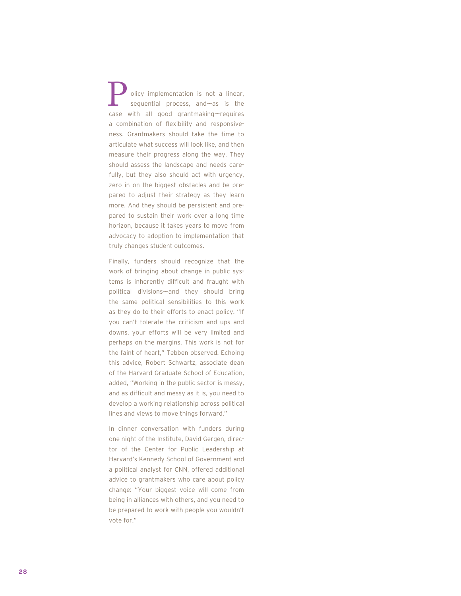olicy implementation is not a linear, sequential process, and-as is the olicy implementation is not a linear,<br>sequential process, and—as is the<br>case with all good grantmaking—requires a combination of flexibility and responsiveness. Grantmakers should take the time to articulate what success will look like, and then measure their progress along the way. They should assess the landscape and needs carefully, but they also should act with urgency, zero in on the biggest obstacles and be prepared to adjust their strategy as they learn more. And they should be persistent and prepared to sustain their work over a long time horizon, because it takes years to move from advocacy to adoption to implementation that truly changes student outcomes.

Finally, funders should recognize that the work of bringing about change in public systems is inherently difficult and fraught with political divisions—and they should bring the same political sensibilities to this work as they do to their efforts to enact policy. "If you can't tolerate the criticism and ups and downs, your efforts will be very limited and perhaps on the margins. This work is not for the faint of heart," Tebben observed. Echoing this advice, Robert Schwartz, associate dean of the Harvard Graduate School of Education, added, "Working in the public sector is messy, and as difficult and messy as it is, you need to develop a working relationship across political lines and views to move things forward."

In dinner conversation with funders during one night of the Institute, David Gergen, director of the Center for Public Leadership at Harvard's Kennedy School of Government and a political analyst for CNN, offered additional advice to grantmakers who care about policy change: "Your biggest voice will come from being in alliances with others, and you need to be prepared to work with people you wouldn't vote for."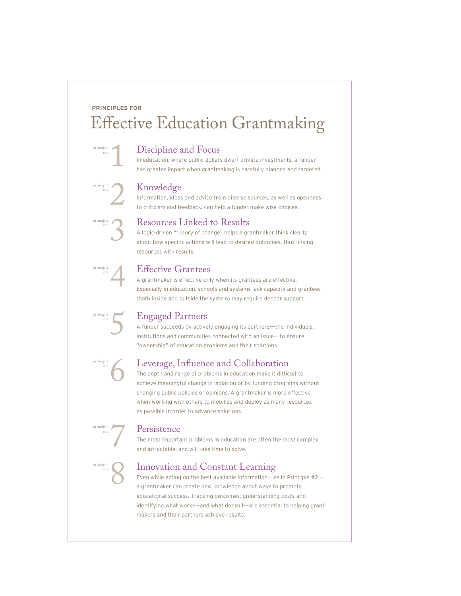## **PRINCIPLES FOR Effective Education Grantmaking**

#### Discipline and Focus

In education, where public dollars dwarf private investments, a funder has greater impact when grantmaking is carefully planned and targeted.

#### Knowledge

1

principle no.

principle no.

principle no.

principle no.

principle no.

principle no.

principle no.

principle no. 2

3

4

5

6

7

8

Information, ideas and advice from diverse sources, as well as openness to criticism and feedback, can help a funder make wise choices.



A logic-driven "theory of change" helps a grantmaker think clearly about how specific actions will lead to desired outcomes, thus linking resources with results.

#### **Effective Grantees**

A grantmaker is effective only when its grantees are effective. Especially in education, schools and systems lack capacity and grantees (both inside and outside the system) may require deeper support.

### Engaged Partners

A funder succeeds by actively engaging its partners—the individuals, institutions and communities connected with an issue-to ensure "ownership" of education problems and their solutions.

#### Leverage, Influence and Collaboration

The depth and range of problems in education make it difficult to achieve meaningful change in isolation or by funding programs without changing public policies or opinions. A grantmaker is more effective when working with others to mobilize and deploy as many resources as possible in order to advance solutions.

#### **Persistence**

The most important problems in education are often the most complex and intractable, and will take time to solve.

#### Innovation and Constant Learning

Even while acting on the best available information—as in Principle #2 a grantmaker can create new knowledge about ways to promote educational success. Tracking outcomes, understanding costs and identifying what works-and what doesn't-are essential to helping grantmakers and their partners achieve results.